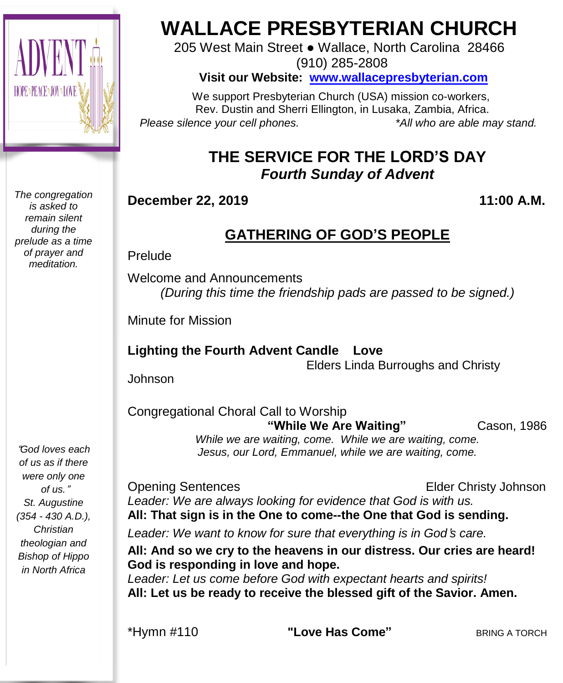

*The congregation is asked to remain silent during the prelude as a time of prayer and meditation.*

"*God loves each of us as if there were only one of us.*" *St. Augustine (354 - 430 A.D.), Christian theologian and Bishop of Hippo in North Africa*

# **WALLACE PRESBYTERIAN CHURCH**

205 West Main Street ● Wallace, North Carolina 28466 (910) 285-2808

**Visit our Website: [www.wallacepresbyterian.com](http://www.wallacepresbyterian.com/)**

 We support Presbyterian Church (USA) mission co-workers, Rev. Dustin and Sherri Ellington, in Lusaka, Zambia, Africa. *Please silence your cell phones. \*All who are able may stand.*

### **THE SERVICE FOR THE LORD'S DAY** *Fourth Sunday of Advent*

### **December 22, 2019 11:00 A.M.**

### **GATHERING OF GOD'S PEOPLE**

Prelude

Welcome and Announcements *(During this time the friendship pads are passed to be signed.)*

Minute for Mission

**Lighting the Fourth Advent Candle Love** Elders Linda Burroughs and Christy

Johnson

Congregational Choral Call to Worship  **"While We Are Waiting"** Cason, 1986 *While we are waiting, come. While we are waiting, come. Jesus, our Lord, Emmanuel, while we are waiting, come.*

Opening Sentences Elder Christy Johnson *Leader: We are always looking for evidence that God is with us.* **All: That sign is in the One to come--the One that God is sending.**

*Leader: We want to know for sure that everything is in God*'*s care.*

**All: And so we cry to the heavens in our distress. Our cries are heard! God is responding in love and hope.**

*Leader: Let us come before God with expectant hearts and spirits!* **All: Let us be ready to receive the blessed gift of the Savior. Amen.**

\*Hymn #110 **"Love Has Come"** BRING <sup>A</sup> TORCH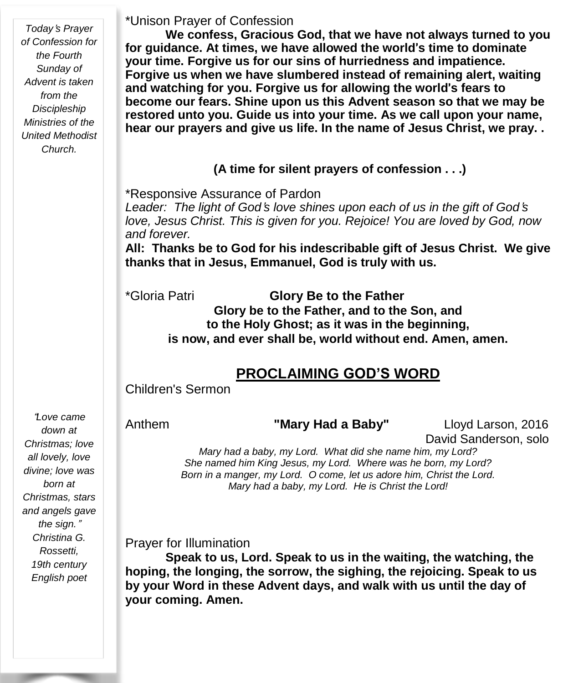*Today*'*s Prayer of Confession for the Fourth Sunday of Advent is taken from the Discipleship Ministries of the United Methodist Church.*

#### \*Unison Prayer of Confession

**We confess, Gracious God, that we have not always turned to you for guidance. At times, we have allowed the world**'**s time to dominate your time. Forgive us for our sins of hurriedness and impatience. Forgive us when we have slumbered instead of remaining alert, waiting and watching for you. Forgive us for allowing the world**'**s fears to become our fears. Shine upon us this Advent season so that we may be restored unto you. Guide us into your time. As we call upon your name, hear our prayers and give us life. In the name of Jesus Christ, we pray. .**

**(A time for silent prayers of confession . . .)**

\*Responsive Assurance of Pardon

*Leader: The light of God*'*s love shines upon each of us in the gift of God*'*s love, Jesus Christ. This is given for you. Rejoice! You are loved by God, now and forever.*

**All: Thanks be to God for his indescribable gift of Jesus Christ. We give thanks that in Jesus, Emmanuel, God is truly with us.**

\*Gloria Patri **Glory Be to the Father Glory be to the Father, and to the Son, and to the Holy Ghost; as it was in the beginning, is now, and ever shall be, world without end. Amen, amen.**

### **PROCLAIMING GOD'S WORD**

Children's Sermon

Anthem **"Mary Had a Baby"** Lloyd Larson, 2016

David Sanderson, solo

*Mary had a baby, my Lord. What did she name him, my Lord? She named him King Jesus, my Lord. Where was he born, my Lord? Born in a manger, my Lord. O come, let us adore him, Christ the Lord. Mary had a baby, my Lord. He is Christ the Lord!*

Prayer for Illumination

**Speak to us, Lord. Speak to us in the waiting, the watching, the hoping, the longing, the sorrow, the sighing, the rejoicing. Speak to us by your Word in these Advent days, and walk with us until the day of your coming. Amen.**

"*Love came down at Christmas; love all lovely, love divine; love was born at Christmas, stars and angels gave the sign.*" *Christina G. Rossetti, 19th century English poet*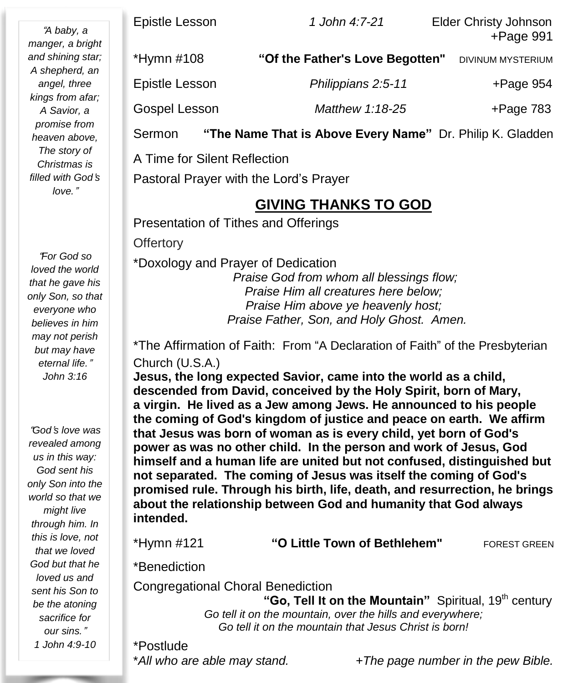| "A baby, a<br>manger, a bright                                                                         | Epistle Lesson | 1 John 4:7-21                   | <b>Elder Christy Johnson</b><br>$+$ Page 991 |
|--------------------------------------------------------------------------------------------------------|----------------|---------------------------------|----------------------------------------------|
| and shining star;<br>A shepherd, an<br>angel, three<br>kings from afar;<br>A Savior, a<br>promise from | *Hymn #108     | "Of the Father's Love Begotten" | <b>DIVINUM MYSTERIUM</b>                     |
|                                                                                                        | Epistle Lesson | Philippians 2:5-11              | $+$ Page 954                                 |
|                                                                                                        | Gospel Lesson  | Matthew 1:18-25                 | $+Page 783$                                  |

Sermon **"The Name That is Above Every Name"** Dr. Philip K. Gladden

A Time for Silent Reflection

Pastoral Prayer with the Lord's Prayer

### **GIVING THANKS TO GOD**

Presentation of Tithes and Offerings

**Offertory** 

## \*Doxology and Prayer of Dedication

*Praise God from whom all blessings flow; Praise Him all creatures here below; Praise Him above ye heavenly host; Praise Father, Son, and Holy Ghost. Amen.*

\*The Affirmation of Faith: From "A Declaration of Faith" of the Presbyterian Church (U.S.A.)

**Jesus, the long expected Savior, came into the world as a child, descended from David, conceived by the Holy Spirit, born of Mary, a virgin. He lived as a Jew among Jews. He announced to his people the coming of God's kingdom of justice and peace on earth. We affirm that Jesus was born of woman as is every child, yet born of God's power as was no other child. In the person and work of Jesus, God himself and a human life are united but not confused, distinguished but not separated. The coming of Jesus was itself the coming of God's promised rule. Through his birth, life, death, and resurrection, he brings about the relationship between God and humanity that God always intended.**

\*Hymn #121 \*Hymn #121 **"O Little Town of Bethlehem"** FOREST GREEN

\*Benediction

Congregational Choral Benediction

 **"Go, Tell It on the Mountain"** Spiritual, 19th century *Go tell it on the mountain, over the hills and everywhere; Go tell it on the mountain that Jesus Christ is born!*

\*Postlude

\**All who are able may stand. +The page number in the pew Bible.*

"*For God so loved the world that he gave his only Son, so that everyone who believes in him may not perish but may have eternal life.*" *John 3:16*

*heaven above, The story of Christmas is filled with God*'*s love.*"

"*God*'*s love was revealed among us in this way: God sent his only Son into the world so that we might live through him. In this is love, not that we loved God but that he loved us and sent his Son to be the atoning sacrifice for our sins.*" *1 John 4:9-10*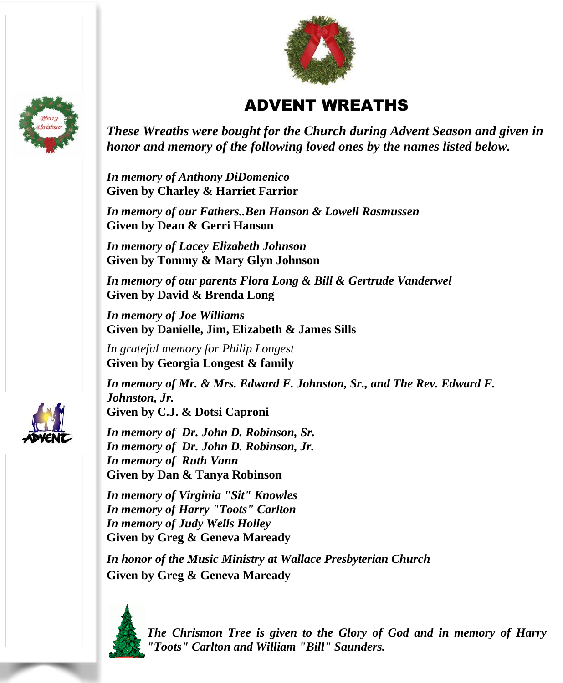

### ADVENT WREATHS



*These Wreaths were bought for the Church during Advent Season and given in honor and memory of the following loved ones by the names listed below.*

*In memory of Anthony DiDomenico* **Given by Charley & Harriet Farrior**

*In memory of our Fathers..Ben Hanson & Lowell Rasmussen* **Given by Dean & Gerri Hanson**

*In memory of Lacey Elizabeth Johnson* **Given by Tommy & Mary Glyn Johnson**

*In memory of our parents Flora Long & Bill & Gertrude Vanderwel* **Given by David & Brenda Long**

*In memory of Joe Williams* **Given by Danielle, Jim, Elizabeth & James Sills**

*In grateful memory for Philip Longest* **Given by Georgia Longest & family**

*In memory of Mr. & Mrs. Edward F. Johnston, Sr., and The Rev. Edward F. Johnston, Jr.* **Given by C.J. & Dotsi Caproni**

*In memory of Dr. John D. Robinson, Sr. In memory of Dr. John D. Robinson, Jr. In memory of Ruth Vann* **Given by Dan & Tanya Robinson**

*In memory of Virginia "Sit" Knowles In memory of Harry "Toots" Carlton In memory of Judy Wells Holley* **Given by Greg & Geneva Maready**

*In honor of the Music Ministry at Wallace Presbyterian Church* **Given by Greg & Geneva Maready**



*The Chrismon Tree is given to the Glory of God and in memory of Harry "Toots" Carlton and William "Bill" Saunders.*

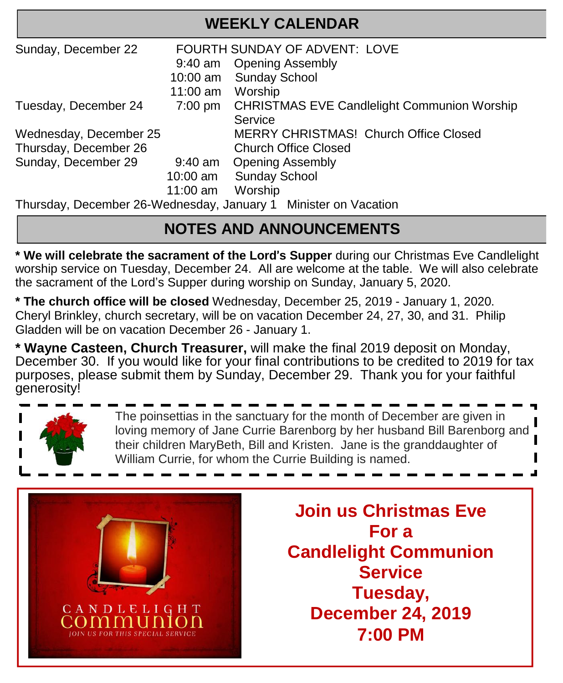| <b>WEEKLY CALENDAR</b>                                          |                  |                                                    |  |  |
|-----------------------------------------------------------------|------------------|----------------------------------------------------|--|--|
| FOURTH SUNDAY OF ADVENT: LOVE<br>Sunday, December 22            |                  |                                                    |  |  |
|                                                                 | $9:40$ am        | <b>Opening Assembly</b>                            |  |  |
|                                                                 |                  | 10:00 am Sunday School                             |  |  |
|                                                                 | 11:00 am Worship |                                                    |  |  |
| Tuesday, December 24                                            | $7:00$ pm        | <b>CHRISTMAS EVE Candlelight Communion Worship</b> |  |  |
|                                                                 |                  | Service                                            |  |  |
| Wednesday, December 25                                          |                  | <b>MERRY CHRISTMAS! Church Office Closed</b>       |  |  |
| Thursday, December 26                                           |                  | <b>Church Office Closed</b>                        |  |  |
| Sunday, December 29                                             | 9:40 am          | <b>Opening Assembly</b>                            |  |  |
|                                                                 | 10:00 am         | <b>Sunday School</b>                               |  |  |
|                                                                 | 11:00 am         | Worship                                            |  |  |
| Thursday, December 26-Wednesday, January 1 Minister on Vacation |                  |                                                    |  |  |

## **NOTES AND ANNOUNCEMENTS**

**\* We will celebrate the sacrament of the Lord**'**s Supper** during our Christmas Eve Candlelight worship service on Tuesday, December 24. All are welcome at the table. We will also celebrate the sacrament of the Lord's Supper during worship on Sunday, January 5, 2020.

**\* The church office will be closed** Wednesday, December 25, 2019 - January 1, 2020. Cheryl Brinkley, church secretary, will be on vacation December 24, 27, 30, and 31. Philip Gladden will be on vacation December 26 - January 1.

**\* Wayne Casteen, Church Treasurer,** will make the final 2019 deposit on Monday, December 30. If you would like for your final contributions to be credited to 2019 for tax purposes, please submit them by Sunday, December 29. Thank you for your faithful generosity!



The poinsettias in the sanctuary for the month of December are given in loving memory of Jane Currie Barenborg by her husband Bill Barenborg and their children MaryBeth, Bill and Kristen. Jane is the granddaughter of William Currie, for whom the Currie Building is named.



**Join us Christmas Eve For a Candlelight Communion Service Tuesday, December 24, 2019 7:00 PM**